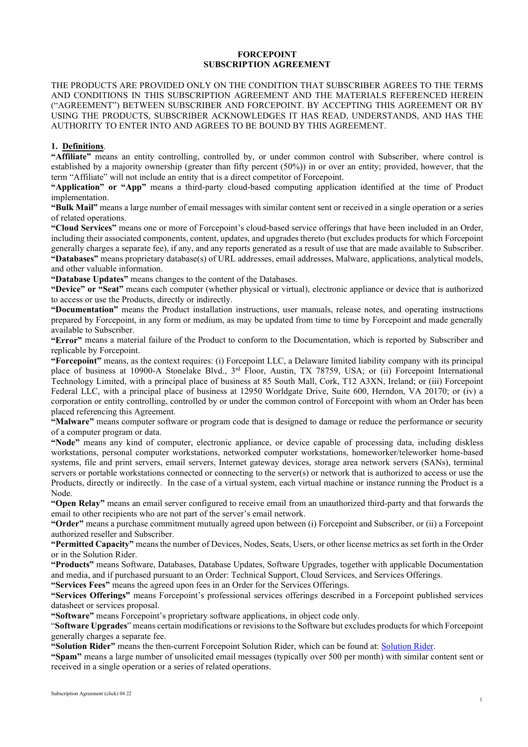# **FORCEPOINT SUBSCRIPTION AGREEMENT**

THE PRODUCTS ARE PROVIDED ONLY ON THE CONDITION THAT SUBSCRIBER AGREES TO THE TERMS AND CONDITIONS IN THIS SUBSCRIPTION AGREEMENT AND THE MATERIALS REFERENCED HEREIN ("AGREEMENT") BETWEEN SUBSCRIBER AND FORCEPOINT. BY ACCEPTING THIS AGREEMENT OR BY USING THE PRODUCTS, SUBSCRIBER ACKNOWLEDGES IT HAS READ, UNDERSTANDS, AND HAS THE AUTHORITY TO ENTER INTO AND AGREES TO BE BOUND BY THIS AGREEMENT.

# **1. Definitions**.

**"Affiliate"** means an entity controlling, controlled by, or under common control with Subscriber, where control is established by a majority ownership (greater than fifty percent (50%)) in or over an entity; provided, however, that the term "Affiliate" will not include an entity that is a direct competitor of Forcepoint.

**"Application" or "App"** means a third-party cloud-based computing application identified at the time of Product implementation.

**"Bulk Mail"** means a large number of email messages with similar content sent or received in a single operation or a series of related operations.

**"Cloud Services"** means one or more of Forcepoint's cloud-based service offerings that have been included in an Order, including their associated components, content, updates, and upgrades thereto (but excludes products for which Forcepoint generally charges a separate fee), if any, and any reports generated as a result of use that are made available to Subscriber. **"Databases"** means proprietary database(s) of URL addresses, email addresses, Malware, applications, analytical models, and other valuable information.

**"Database Updates"** means changes to the content of the Databases.

**"Device" or "Seat"** means each computer (whether physical or virtual), electronic appliance or device that is authorized to access or use the Products, directly or indirectly.

**"Documentation"** means the Product installation instructions, user manuals, release notes, and operating instructions prepared by Forcepoint, in any form or medium, as may be updated from time to time by Forcepoint and made generally available to Subscriber.

**"Error"** means a material failure of the Product to conform to the Documentation, which is reported by Subscriber and replicable by Forcepoint.

**"Forcepoint"** means, as the context requires: (i) Forcepoint LLC, a Delaware limited liability company with its principal place of business at 10900-A Stonelake Blvd., 3rd Floor, Austin, TX 78759, USA; or (ii) Forcepoint International Technology Limited, with a principal place of business at 85 South Mall, Cork, T12 A3XN, Ireland; or (iii) Forcepoint Federal LLC, with a principal place of business at 12950 Worldgate Drive, Suite 600, Herndon, VA 20170; or (iv) a corporation or entity controlling, controlled by or under the common control of Forcepoint with whom an Order has been placed referencing this Agreement.

**"Malware"** means computer software or program code that is designed to damage or reduce the performance or security of a computer program or data.

**"Node"** means any kind of computer, electronic appliance, or device capable of processing data, including diskless workstations, personal computer workstations, networked computer workstations, homeworker/teleworker home-based systems, file and print servers, email servers, Internet gateway devices, storage area network servers (SANs), terminal servers or portable workstations connected or connecting to the server(s) or network that is authorized to access or use the Products, directly or indirectly. In the case of a virtual system, each virtual machine or instance running the Product is a Node.

**"Open Relay"** means an email server configured to receive email from an unauthorized third-party and that forwards the email to other recipients who are not part of the server's email network.

**"Order"** means a purchase commitment mutually agreed upon between (i) Forcepoint and Subscriber, or (ii) a Forcepoint authorized reseller and Subscriber.

**"Permitted Capacity"** means the number of Devices, Nodes, Seats, Users, or other license metrics as set forth in the Order or in the Solution Rider.

**"Products"** means Software, Databases, Database Updates, Software Upgrades, together with applicable Documentation and media, and if purchased pursuant to an Order: Technical Support, Cloud Services, and Services Offerings.

**"Services Fees"** means the agreed upon fees in an Order for the Services Offerings.

**"Services Offerings"** means Forcepoint's professional services offerings described in a Forcepoint published services datasheet or services proposal.

**"Software"** means Forcepoint's proprietary software applications, in object code only.

"**Software Upgrades**" means certain modifications or revisions to the Software but excludes products for which Forcepoint generally charges a separate fee.

**"Solution Rider"** means the then-current Forcepoint Solution Rider, which can be found at: [Solution Rider.](https://www.forcepoint.com/resources/legal/solution-rider)

**"Spam"** means a large number of unsolicited email messages (typically over 500 per month) with similar content sent or received in a single operation or a series of related operations.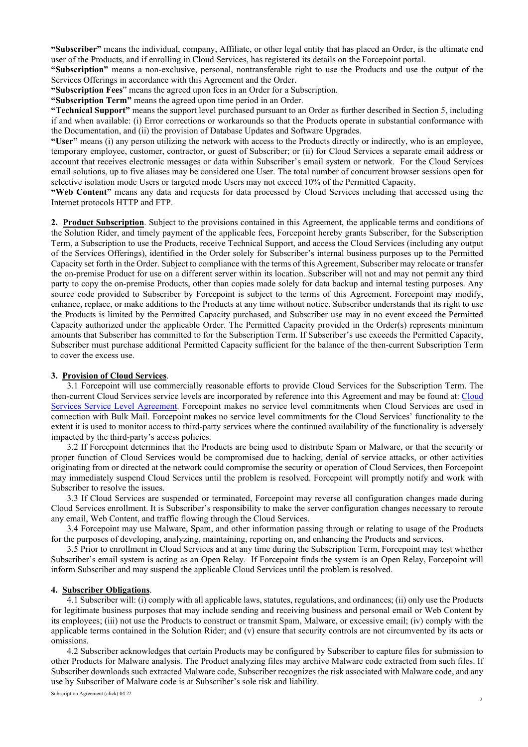**"Subscriber"** means the individual, company, Affiliate, or other legal entity that has placed an Order, is the ultimate end user of the Products, and if enrolling in Cloud Services, has registered its details on the Forcepoint portal.

**"Subscription"** means a non-exclusive, personal, nontransferable right to use the Products and use the output of the Services Offerings in accordance with this Agreement and the Order.

**"Subscription Fees**" means the agreed upon fees in an Order for a Subscription.

**"Subscription Term"** means the agreed upon time period in an Order.

**"Technical Support"** means the support level purchased pursuant to an Order as further described in Section 5, including if and when available: (i) Error corrections or workarounds so that the Products operate in substantial conformance with the Documentation, and (ii) the provision of Database Updates and Software Upgrades.

**"User"** means (i) any person utilizing the network with access to the Products directly or indirectly, who is an employee, temporary employee, customer, contractor, or guest of Subscriber; or (ii) for Cloud Services a separate email address or account that receives electronic messages or data within Subscriber's email system or network. For the Cloud Services email solutions, up to five aliases may be considered one User. The total number of concurrent browser sessions open for selective isolation mode Users or targeted mode Users may not exceed 10% of the Permitted Capacity.

**"Web Content"** means any data and requests for data processed by Cloud Services including that accessed using the Internet protocols HTTP and FTP.

**2. Product Subscription**. Subject to the provisions contained in this Agreement, the applicable terms and conditions of the Solution Rider, and timely payment of the applicable fees, Forcepoint hereby grants Subscriber, for the Subscription Term, a Subscription to use the Products, receive Technical Support, and access the Cloud Services (including any output of the Services Offerings), identified in the Order solely for Subscriber's internal business purposes up to the Permitted Capacity set forth in the Order. Subject to compliance with the terms of this Agreement, Subscriber may relocate or transfer the on-premise Product for use on a different server within its location. Subscriber will not and may not permit any third party to copy the on-premise Products, other than copies made solely for data backup and internal testing purposes. Any source code provided to Subscriber by Forcepoint is subject to the terms of this Agreement. Forcepoint may modify, enhance, replace, or make additions to the Products at any time without notice. Subscriber understands that its right to use the Products is limited by the Permitted Capacity purchased, and Subscriber use may in no event exceed the Permitted Capacity authorized under the applicable Order. The Permitted Capacity provided in the Order(s) represents minimum amounts that Subscriber has committed to for the Subscription Term. If Subscriber's use exceeds the Permitted Capacity, Subscriber must purchase additional Permitted Capacity sufficient for the balance of the then-current Subscription Term to cover the excess use.

## **3. Provision of Cloud Services**.

3.1 Forcepoint will use commercially reasonable efforts to provide Cloud Services for the Subscription Term. The then-current Cloud Services service levels are incorporated by reference into this Agreement and may be found at: [Cloud](https://www.forcepoint.com/resources/legal/cloud-saas-service-level-agreement)  [Services Service Level Agreement.](https://www.forcepoint.com/resources/legal/cloud-saas-service-level-agreement) Forcepoint makes no service level commitments when Cloud Services are used in connection with Bulk Mail. Forcepoint makes no service level commitments for the Cloud Services' functionality to the extent it is used to monitor access to third-party services where the continued availability of the functionality is adversely impacted by the third-party's access policies.

3.2 If Forcepoint determines that the Products are being used to distribute Spam or Malware, or that the security or proper function of Cloud Services would be compromised due to hacking, denial of service attacks, or other activities originating from or directed at the network could compromise the security or operation of Cloud Services, then Forcepoint may immediately suspend Cloud Services until the problem is resolved. Forcepoint will promptly notify and work with Subscriber to resolve the issues.

3.3 If Cloud Services are suspended or terminated, Forcepoint may reverse all configuration changes made during Cloud Services enrollment. It is Subscriber's responsibility to make the server configuration changes necessary to reroute any email, Web Content, and traffic flowing through the Cloud Services.

3.4 Forcepoint may use Malware, Spam, and other information passing through or relating to usage of the Products for the purposes of developing, analyzing, maintaining, reporting on, and enhancing the Products and services.

3.5 Prior to enrollment in Cloud Services and at any time during the Subscription Term, Forcepoint may test whether Subscriber's email system is acting as an Open Relay. If Forcepoint finds the system is an Open Relay, Forcepoint will inform Subscriber and may suspend the applicable Cloud Services until the problem is resolved.

#### **4. Subscriber Obligations**.

4.1 Subscriber will: (i) comply with all applicable laws, statutes, regulations, and ordinances; (ii) only use the Products for legitimate business purposes that may include sending and receiving business and personal email or Web Content by its employees; (iii) not use the Products to construct or transmit Spam, Malware, or excessive email; (iv) comply with the applicable terms contained in the Solution Rider; and (v) ensure that security controls are not circumvented by its acts or omissions.

4.2 Subscriber acknowledges that certain Products may be configured by Subscriber to capture files for submission to other Products for Malware analysis. The Product analyzing files may archive Malware code extracted from such files. If Subscriber downloads such extracted Malware code, Subscriber recognizes the risk associated with Malware code, and any use by Subscriber of Malware code is at Subscriber's sole risk and liability.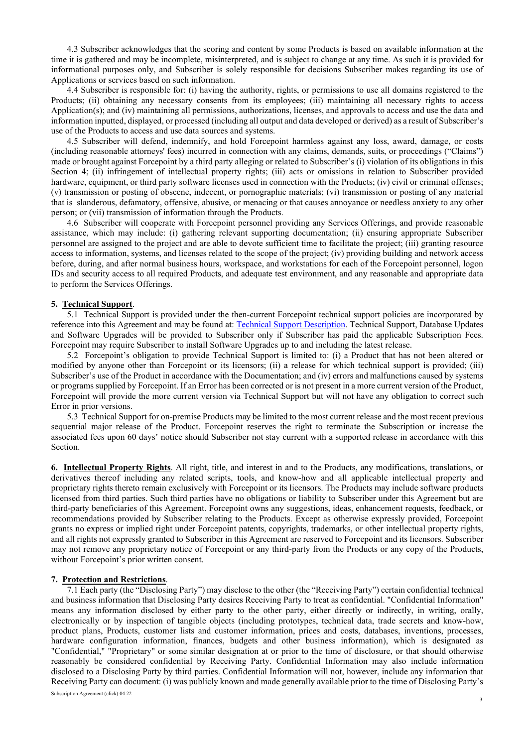4.3 Subscriber acknowledges that the scoring and content by some Products is based on available information at the time it is gathered and may be incomplete, misinterpreted, and is subject to change at any time. As such it is provided for informational purposes only, and Subscriber is solely responsible for decisions Subscriber makes regarding its use of Applications or services based on such information.

4.4 Subscriber is responsible for: (i) having the authority, rights, or permissions to use all domains registered to the Products; (ii) obtaining any necessary consents from its employees; (iii) maintaining all necessary rights to access Application(s); and (iv) maintaining all permissions, authorizations, licenses, and approvals to access and use the data and information inputted, displayed, or processed (including all output and data developed or derived) as a result of Subscriber's use of the Products to access and use data sources and systems.

4.5 Subscriber will defend, indemnify, and hold Forcepoint harmless against any loss, award, damage, or costs (including reasonable attorneys' fees) incurred in connection with any claims, demands, suits, or proceedings ("Claims") made or brought against Forcepoint by a third party alleging or related to Subscriber's (i) violation of its obligations in this Section 4; (ii) infringement of intellectual property rights; (iii) acts or omissions in relation to Subscriber provided hardware, equipment, or third party software licenses used in connection with the Products; (iv) civil or criminal offenses; (v) transmission or posting of obscene, indecent, or pornographic materials; (vi) transmission or posting of any material that is slanderous, defamatory, offensive, abusive, or menacing or that causes annoyance or needless anxiety to any other person; or (vii) transmission of information through the Products.

4.6 Subscriber will cooperate with Forcepoint personnel providing any Services Offerings, and provide reasonable assistance, which may include: (i) gathering relevant supporting documentation; (ii) ensuring appropriate Subscriber personnel are assigned to the project and are able to devote sufficient time to facilitate the project; (iii) granting resource access to information, systems, and licenses related to the scope of the project; (iv) providing building and network access before, during, and after normal business hours, workspace, and workstations for each of the Forcepoint personnel, logon IDs and security access to all required Products, and adequate test environment, and any reasonable and appropriate data to perform the Services Offerings.

### **5. Technical Support**.

5.1 Technical Support is provided under the then-current Forcepoint technical support policies are incorporated by reference into this Agreement and may be found at: [Technical Support Description.](https://www.forcepoint.com/resources/legal/technical-support-description) Technical Support, Database Updates and Software Upgrades will be provided to Subscriber only if Subscriber has paid the applicable Subscription Fees. Forcepoint may require Subscriber to install Software Upgrades up to and including the latest release.

5.2 Forcepoint's obligation to provide Technical Support is limited to: (i) a Product that has not been altered or modified by anyone other than Forcepoint or its licensors; (ii) a release for which technical support is provided; (iii) Subscriber's use of the Product in accordance with the Documentation; and (iv) errors and malfunctions caused by systems or programs supplied by Forcepoint. If an Error has been corrected or is not present in a more current version of the Product, Forcepoint will provide the more current version via Technical Support but will not have any obligation to correct such Error in prior versions.

5.3 Technical Support for on-premise Products may be limited to the most current release and the most recent previous sequential major release of the Product. Forcepoint reserves the right to terminate the Subscription or increase the associated fees upon 60 days' notice should Subscriber not stay current with a supported release in accordance with this Section.

**6. Intellectual Property Rights**. All right, title, and interest in and to the Products, any modifications, translations, or derivatives thereof including any related scripts, tools, and know-how and all applicable intellectual property and proprietary rights thereto remain exclusively with Forcepoint or its licensors. The Products may include software products licensed from third parties. Such third parties have no obligations or liability to Subscriber under this Agreement but are third-party beneficiaries of this Agreement. Forcepoint owns any suggestions, ideas, enhancement requests, feedback, or recommendations provided by Subscriber relating to the Products. Except as otherwise expressly provided, Forcepoint grants no express or implied right under Forcepoint patents, copyrights, trademarks, or other intellectual property rights, and all rights not expressly granted to Subscriber in this Agreement are reserved to Forcepoint and its licensors. Subscriber may not remove any proprietary notice of Forcepoint or any third-party from the Products or any copy of the Products, without Forcepoint's prior written consent.

#### **7. Protection and Restrictions**.

7.1 Each party (the "Disclosing Party") may disclose to the other (the "Receiving Party") certain confidential technical and business information that Disclosing Party desires Receiving Party to treat as confidential. "Confidential Information" means any information disclosed by either party to the other party, either directly or indirectly, in writing, orally, electronically or by inspection of tangible objects (including prototypes, technical data, trade secrets and know-how, product plans, Products, customer lists and customer information, prices and costs, databases, inventions, processes, hardware configuration information, finances, budgets and other business information), which is designated as "Confidential," "Proprietary" or some similar designation at or prior to the time of disclosure, or that should otherwise reasonably be considered confidential by Receiving Party. Confidential Information may also include information disclosed to a Disclosing Party by third parties. Confidential Information will not, however, include any information that Receiving Party can document: (i) was publicly known and made generally available prior to the time of Disclosing Party's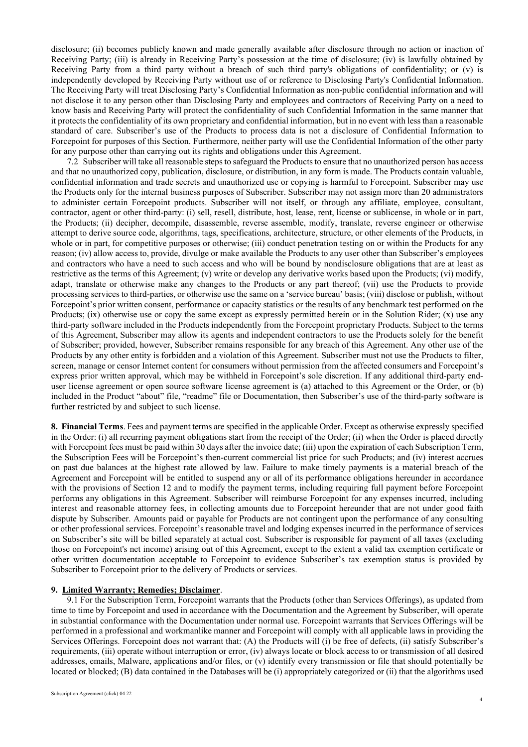disclosure; (ii) becomes publicly known and made generally available after disclosure through no action or inaction of Receiving Party; (iii) is already in Receiving Party's possession at the time of disclosure; (iv) is lawfully obtained by Receiving Party from a third party without a breach of such third party's obligations of confidentiality; or (v) is independently developed by Receiving Party without use of or reference to Disclosing Party's Confidential Information. The Receiving Party will treat Disclosing Party's Confidential Information as non-public confidential information and will not disclose it to any person other than Disclosing Party and employees and contractors of Receiving Party on a need to know basis and Receiving Party will protect the confidentiality of such Confidential Information in the same manner that it protects the confidentiality of its own proprietary and confidential information, but in no event with less than a reasonable standard of care. Subscriber's use of the Products to process data is not a disclosure of Confidential Information to Forcepoint for purposes of this Section. Furthermore, neither party will use the Confidential Information of the other party for any purpose other than carrying out its rights and obligations under this Agreement.

7.2 Subscriber will take all reasonable steps to safeguard the Products to ensure that no unauthorized person has access and that no unauthorized copy, publication, disclosure, or distribution, in any form is made. The Products contain valuable, confidential information and trade secrets and unauthorized use or copying is harmful to Forcepoint. Subscriber may use the Products only for the internal business purposes of Subscriber. Subscriber may not assign more than 20 administrators to administer certain Forcepoint products. Subscriber will not itself, or through any affiliate, employee, consultant, contractor, agent or other third-party: (i) sell, resell, distribute, host, lease, rent, license or sublicense, in whole or in part, the Products; (ii) decipher, decompile, disassemble, reverse assemble, modify, translate, reverse engineer or otherwise attempt to derive source code, algorithms, tags, specifications, architecture, structure, or other elements of the Products, in whole or in part, for competitive purposes or otherwise; (iii) conduct penetration testing on or within the Products for any reason; (iv) allow access to, provide, divulge or make available the Products to any user other than Subscriber's employees and contractors who have a need to such access and who will be bound by nondisclosure obligations that are at least as restrictive as the terms of this Agreement; (v) write or develop any derivative works based upon the Products; (vi) modify, adapt, translate or otherwise make any changes to the Products or any part thereof; (vii) use the Products to provide processing services to third-parties, or otherwise use the same on a 'service bureau' basis; (viii) disclose or publish, without Forcepoint's prior written consent, performance or capacity statistics or the results of any benchmark test performed on the Products; (ix) otherwise use or copy the same except as expressly permitted herein or in the Solution Rider; (x) use any third-party software included in the Products independently from the Forcepoint proprietary Products. Subject to the terms of this Agreement, Subscriber may allow its agents and independent contractors to use the Products solely for the benefit of Subscriber; provided, however, Subscriber remains responsible for any breach of this Agreement. Any other use of the Products by any other entity is forbidden and a violation of this Agreement. Subscriber must not use the Products to filter, screen, manage or censor Internet content for consumers without permission from the affected consumers and Forcepoint's express prior written approval, which may be withheld in Forcepoint's sole discretion. If any additional third-party enduser license agreement or open source software license agreement is (a) attached to this Agreement or the Order, or (b) included in the Product "about" file, "readme" file or Documentation, then Subscriber's use of the third-party software is further restricted by and subject to such license.

**8. Financial Terms**. Fees and payment terms are specified in the applicable Order. Except as otherwise expressly specified in the Order: (i) all recurring payment obligations start from the receipt of the Order; (ii) when the Order is placed directly with Forcepoint fees must be paid within 30 days after the invoice date; (iii) upon the expiration of each Subscription Term, the Subscription Fees will be Forcepoint's then-current commercial list price for such Products; and (iv) interest accrues on past due balances at the highest rate allowed by law. Failure to make timely payments is a material breach of the Agreement and Forcepoint will be entitled to suspend any or all of its performance obligations hereunder in accordance with the provisions of Section 12 and to modify the payment terms, including requiring full payment before Forcepoint performs any obligations in this Agreement. Subscriber will reimburse Forcepoint for any expenses incurred, including interest and reasonable attorney fees, in collecting amounts due to Forcepoint hereunder that are not under good faith dispute by Subscriber. Amounts paid or payable for Products are not contingent upon the performance of any consulting or other professional services. Forcepoint's reasonable travel and lodging expenses incurred in the performance of services on Subscriber's site will be billed separately at actual cost. Subscriber is responsible for payment of all taxes (excluding those on Forcepoint's net income) arising out of this Agreement, except to the extent a valid tax exemption certificate or other written documentation acceptable to Forcepoint to evidence Subscriber's tax exemption status is provided by Subscriber to Forcepoint prior to the delivery of Products or services.

#### **9. Limited Warranty; Remedies; Disclaimer**.

9.1 For the Subscription Term, Forcepoint warrants that the Products (other than Services Offerings), as updated from time to time by Forcepoint and used in accordance with the Documentation and the Agreement by Subscriber, will operate in substantial conformance with the Documentation under normal use. Forcepoint warrants that Services Offerings will be performed in a professional and workmanlike manner and Forcepoint will comply with all applicable laws in providing the Services Offerings. Forcepoint does not warrant that: (A) the Products will (i) be free of defects, (ii) satisfy Subscriber's requirements, (iii) operate without interruption or error, (iv) always locate or block access to or transmission of all desired addresses, emails, Malware, applications and/or files, or (v) identify every transmission or file that should potentially be located or blocked; (B) data contained in the Databases will be (i) appropriately categorized or (ii) that the algorithms used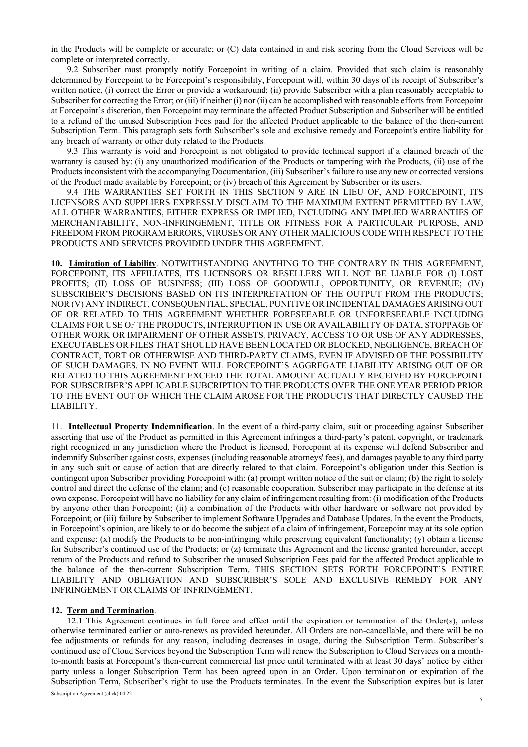in the Products will be complete or accurate; or (C) data contained in and risk scoring from the Cloud Services will be complete or interpreted correctly.

9.2 Subscriber must promptly notify Forcepoint in writing of a claim. Provided that such claim is reasonably determined by Forcepoint to be Forcepoint's responsibility, Forcepoint will, within 30 days of its receipt of Subscriber's written notice, (i) correct the Error or provide a workaround; (ii) provide Subscriber with a plan reasonably acceptable to Subscriber for correcting the Error; or (iii) if neither (i) nor (ii) can be accomplished with reasonable efforts from Forcepoint at Forcepoint's discretion, then Forcepoint may terminate the affected Product Subscription and Subscriber will be entitled to a refund of the unused Subscription Fees paid for the affected Product applicable to the balance of the then-current Subscription Term. This paragraph sets forth Subscriber's sole and exclusive remedy and Forcepoint's entire liability for any breach of warranty or other duty related to the Products.

9.3 This warranty is void and Forcepoint is not obligated to provide technical support if a claimed breach of the warranty is caused by: (i) any unauthorized modification of the Products or tampering with the Products, (ii) use of the Products inconsistent with the accompanying Documentation, (iii) Subscriber's failure to use any new or corrected versions of the Product made available by Forcepoint; or (iv) breach of this Agreement by Subscriber or its users.

9.4 THE WARRANTIES SET FORTH IN THIS SECTION 9 ARE IN LIEU OF, AND FORCEPOINT, ITS LICENSORS AND SUPPLIERS EXPRESSLY DISCLAIM TO THE MAXIMUM EXTENT PERMITTED BY LAW, ALL OTHER WARRANTIES, EITHER EXPRESS OR IMPLIED, INCLUDING ANY IMPLIED WARRANTIES OF MERCHANTABILITY, NON-INFRINGEMENT, TITLE OR FITNESS FOR A PARTICULAR PURPOSE, AND FREEDOM FROM PROGRAM ERRORS, VIRUSES OR ANY OTHER MALICIOUS CODE WITH RESPECT TO THE PRODUCTS AND SERVICES PROVIDED UNDER THIS AGREEMENT.

**10. Limitation of Liability**. NOTWITHSTANDING ANYTHING TO THE CONTRARY IN THIS AGREEMENT, FORCEPOINT, ITS AFFILIATES, ITS LICENSORS OR RESELLERS WILL NOT BE LIABLE FOR (I) LOST PROFITS; (II) LOSS OF BUSINESS; (III) LOSS OF GOODWILL, OPPORTUNITY, OR REVENUE; (IV) SUBSCRIBER'S DECISIONS BASED ON ITS INTERPRETATION OF THE OUTPUT FROM THE PRODUCTS; NOR (V) ANY INDIRECT, CONSEQUENTIAL, SPECIAL, PUNITIVE OR INCIDENTAL DAMAGES ARISING OUT OF OR RELATED TO THIS AGREEMENT WHETHER FORESEEABLE OR UNFORESEEABLE INCLUDING CLAIMS FOR USE OF THE PRODUCTS, INTERRUPTION IN USE OR AVAILABILITY OF DATA, STOPPAGE OF OTHER WORK OR IMPAIRMENT OF OTHER ASSETS, PRIVACY, ACCESS TO OR USE OF ANY ADDRESSES, EXECUTABLES OR FILES THAT SHOULD HAVE BEEN LOCATED OR BLOCKED, NEGLIGENCE, BREACH OF CONTRACT, TORT OR OTHERWISE AND THIRD-PARTY CLAIMS, EVEN IF ADVISED OF THE POSSIBILITY OF SUCH DAMAGES. IN NO EVENT WILL FORCEPOINT'S AGGREGATE LIABILITY ARISING OUT OF OR RELATED TO THIS AGREEMENT EXCEED THE TOTAL AMOUNT ACTUALLY RECEIVED BY FORCEPOINT FOR SUBSCRIBER'S APPLICABLE SUBCRIPTION TO THE PRODUCTS OVER THE ONE YEAR PERIOD PRIOR TO THE EVENT OUT OF WHICH THE CLAIM AROSE FOR THE PRODUCTS THAT DIRECTLY CAUSED THE LIABILITY.

11. **Intellectual Property Indemnification**. In the event of a third-party claim, suit or proceeding against Subscriber asserting that use of the Product as permitted in this Agreement infringes a third-party's patent, copyright, or trademark right recognized in any jurisdiction where the Product is licensed, Forcepoint at its expense will defend Subscriber and indemnify Subscriber against costs, expenses (including reasonable attorneys' fees), and damages payable to any third party in any such suit or cause of action that are directly related to that claim. Forcepoint's obligation under this Section is contingent upon Subscriber providing Forcepoint with: (a) prompt written notice of the suit or claim; (b) the right to solely control and direct the defense of the claim; and (c) reasonable cooperation. Subscriber may participate in the defense at its own expense. Forcepoint will have no liability for any claim of infringement resulting from: (i) modification of the Products by anyone other than Forcepoint; (ii) a combination of the Products with other hardware or software not provided by Forcepoint; or (iii) failure by Subscriber to implement Software Upgrades and Database Updates. In the event the Products, in Forcepoint's opinion, are likely to or do become the subject of a claim of infringement, Forcepoint may at its sole option and expense: (x) modify the Products to be non-infringing while preserving equivalent functionality; (y) obtain a license for Subscriber's continued use of the Products; or (z) terminate this Agreement and the license granted hereunder, accept return of the Products and refund to Subscriber the unused Subscription Fees paid for the affected Product applicable to the balance of the then-current Subscription Term. THIS SECTION SETS FORTH FORCEPOINT'S ENTIRE LIABILITY AND OBLIGATION AND SUBSCRIBER'S SOLE AND EXCLUSIVE REMEDY FOR ANY INFRINGEMENT OR CLAIMS OF INFRINGEMENT.

# **12. Term and Termination**.

12.1 This Agreement continues in full force and effect until the expiration or termination of the Order(s), unless otherwise terminated earlier or auto-renews as provided hereunder. All Orders are non-cancellable, and there will be no fee adjustments or refunds for any reason, including decreases in usage, during the Subscription Term. Subscriber's continued use of Cloud Services beyond the Subscription Term will renew the Subscription to Cloud Services on a monthto-month basis at Forcepoint's then-current commercial list price until terminated with at least 30 days' notice by either party unless a longer Subscription Term has been agreed upon in an Order. Upon termination or expiration of the Subscription Term, Subscriber's right to use the Products terminates. In the event the Subscription expires but is later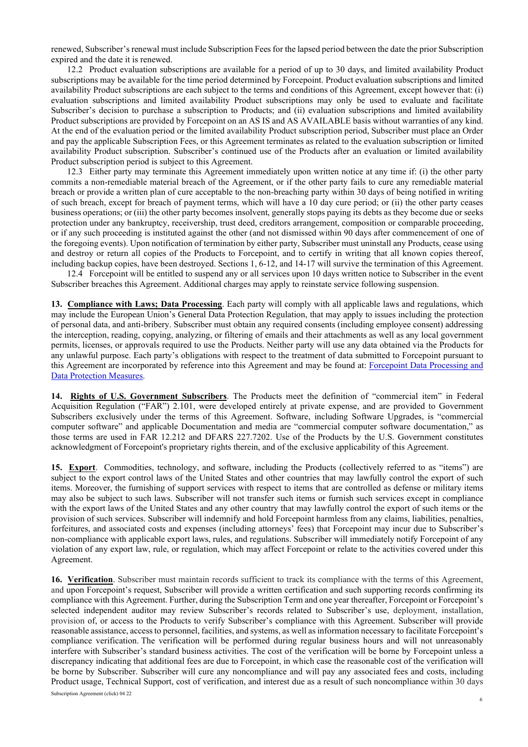renewed, Subscriber's renewal must include Subscription Fees for the lapsed period between the date the prior Subscription expired and the date it is renewed.

12.2 Product evaluation subscriptions are available for a period of up to 30 days, and limited availability Product subscriptions may be available for the time period determined by Forcepoint. Product evaluation subscriptions and limited availability Product subscriptions are each subject to the terms and conditions of this Agreement, except however that: (i) evaluation subscriptions and limited availability Product subscriptions may only be used to evaluate and facilitate Subscriber's decision to purchase a subscription to Products; and (ii) evaluation subscriptions and limited availability Product subscriptions are provided by Forcepoint on an AS IS and AS AVAILABLE basis without warranties of any kind. At the end of the evaluation period or the limited availability Product subscription period, Subscriber must place an Order and pay the applicable Subscription Fees, or this Agreement terminates as related to the evaluation subscription or limited availability Product subscription. Subscriber's continued use of the Products after an evaluation or limited availability Product subscription period is subject to this Agreement.

12.3 Either party may terminate this Agreement immediately upon written notice at any time if: (i) the other party commits a non-remediable material breach of the Agreement, or if the other party fails to cure any remediable material breach or provide a written plan of cure acceptable to the non-breaching party within 30 days of being notified in writing of such breach, except for breach of payment terms, which will have a 10 day cure period; or (ii) the other party ceases business operations; or (iii) the other party becomes insolvent, generally stops paying its debts as they become due or seeks protection under any bankruptcy, receivership, trust deed, creditors arrangement, composition or comparable proceeding, or if any such proceeding is instituted against the other (and not dismissed within 90 days after commencement of one of the foregoing events). Upon notification of termination by either party, Subscriber must uninstall any Products, cease using and destroy or return all copies of the Products to Forcepoint, and to certify in writing that all known copies thereof, including backup copies, have been destroyed. Sections 1, 6-12, and 14-17 will survive the termination of this Agreement.

12.4 Forcepoint will be entitled to suspend any or all services upon 10 days written notice to Subscriber in the event Subscriber breaches this Agreement. Additional charges may apply to reinstate service following suspension.

**13. Compliance with Laws; Data Processing**. Each party will comply with all applicable laws and regulations, which may include the European Union's General Data Protection Regulation, that may apply to issues including the protection of personal data, and anti-bribery. Subscriber must obtain any required consents (including employee consent) addressing the interception, reading, copying, analyzing, or filtering of emails and their attachments as well as any local government permits, licenses, or approvals required to use the Products. Neither party will use any data obtained via the Products for any unlawful purpose. Each party's obligations with respect to the treatment of data submitted to Forcepoint pursuant to this Agreement are incorporated by reference into this Agreement and may be found at: [Forcepoint Data Processing and](https://www.forcepoint.com/data-processing-agreement)  [Data Protection Measures.](https://www.forcepoint.com/data-processing-agreement)

**14. Rights of U.S. Government Subscribers**. The Products meet the definition of "commercial item" in Federal Acquisition Regulation ("FAR") 2.101, were developed entirely at private expense, and are provided to Government Subscribers exclusively under the terms of this Agreement. Software, including Software Upgrades, is "commercial computer software" and applicable Documentation and media are "commercial computer software documentation," as those terms are used in FAR 12.212 and DFARS 227.7202. Use of the Products by the U.S. Government constitutes acknowledgment of Forcepoint's proprietary rights therein, and of the exclusive applicability of this Agreement.

**15. Export**. Commodities, technology, and software, including the Products (collectively referred to as "items") are subject to the export control laws of the United States and other countries that may lawfully control the export of such items. Moreover, the furnishing of support services with respect to items that are controlled as defense or military items may also be subject to such laws. Subscriber will not transfer such items or furnish such services except in compliance with the export laws of the United States and any other country that may lawfully control the export of such items or the provision of such services. Subscriber will indemnify and hold Forcepoint harmless from any claims, liabilities, penalties, forfeitures, and associated costs and expenses (including attorneys' fees) that Forcepoint may incur due to Subscriber's non-compliance with applicable export laws, rules, and regulations. Subscriber will immediately notify Forcepoint of any violation of any export law, rule, or regulation, which may affect Forcepoint or relate to the activities covered under this Agreement.

**16. Verification**. Subscriber must maintain records sufficient to track its compliance with the terms of this Agreement, and upon Forcepoint's request, Subscriber will provide a written certification and such supporting records confirming its compliance with this Agreement. Further, during the Subscription Term and one year thereafter, Forcepoint or Forcepoint's selected independent auditor may review Subscriber's records related to Subscriber's use, deployment, installation, provision of, or access to the Products to verify Subscriber's compliance with this Agreement. Subscriber will provide reasonable assistance, access to personnel, facilities, and systems, as well asinformation necessary to facilitate Forcepoint's compliance verification. The verification will be performed during regular business hours and will not unreasonably interfere with Subscriber's standard business activities. The cost of the verification will be borne by Forcepoint unless a discrepancy indicating that additional fees are due to Forcepoint, in which case the reasonable cost of the verification will be borne by Subscriber. Subscriber will cure any noncompliance and will pay any associated fees and costs, including Product usage, Technical Support, cost of verification, and interest due as a result of such noncompliance within 30 days